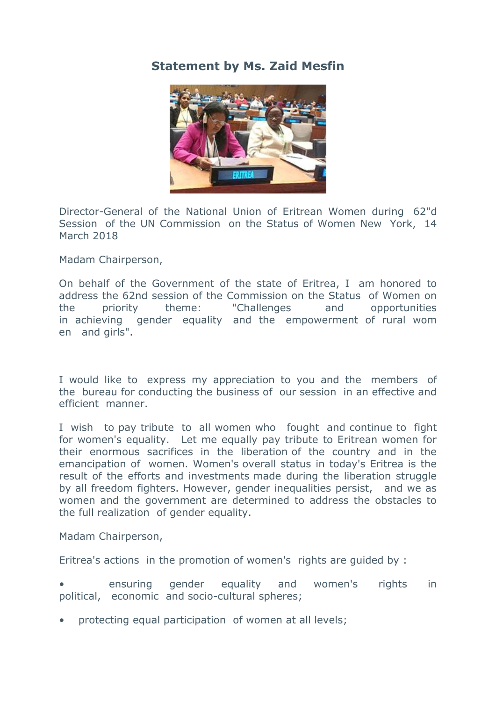## **Statement by Ms. Zaid Mesfin**



Director-General of the National Union of Eritrean Women during 62"d Session of the UN Commission on the Status of Women New York, 14 March 2018

Madam Chairperson,

On behalf of the Government of the state of Eritrea, I am honored to address the 62nd session of the Commission on the Status of Women on the priority theme: "Challenges and opportunities in achieving gender equality and the empowerment of rural wom en and girls".

I would like to express my appreciation to you and the members of the bureau for conducting the business of our session in an effective and efficient manner.

I wish to pay tribute to all women who fought and continue to fight for women's equality. Let me equally pay tribute to Eritrean women for their enormous sacrifices in the liberation of the country and in the emancipation of women. Women's overall status in today's Eritrea is the result of the efforts and investments made during the liberation struggle by all freedom fighters. However, gender inequalities persist, and we as women and the government are determined to address the obstacles to the full realization of gender equality.

Madam Chairperson,

Eritrea's actions in the promotion of women's rights are guided by :

• ensuring gender equality and women's rights in political, economic and socio-cultural spheres;

• protecting equal participation of women at all levels;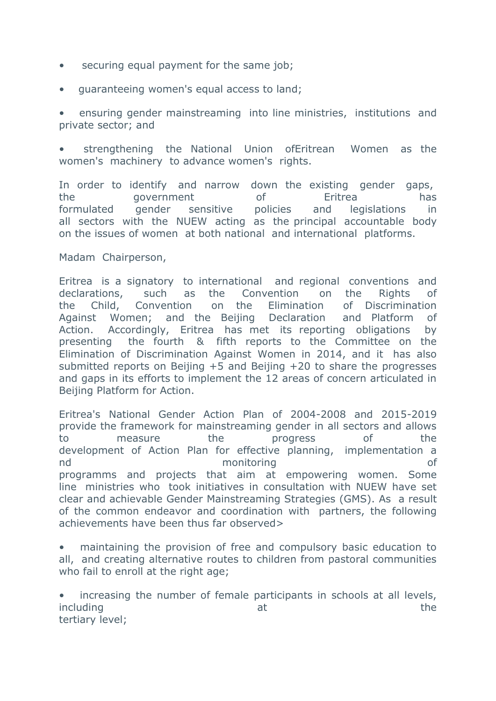- securing equal payment for the same job;
- guaranteeing women's equal access to land;

• ensuring gender mainstreaming into line ministries, institutions and private sector; and

• strengthening the National Union ofEritrean Women as the women's machinery to advance women's rights.

In order to identify and narrow down the existing gender gaps, the government of Eritrea has formulated gender sensitive policies and legislations in all sectors with the NUEW acting as the principal accountable body on the issues of women at both national and international platforms.

Madam Chairperson,

Eritrea is a signatory to international and regional conventions and declarations, such as the Convention on the Rights of the Child, Convention on the Elimination of Discrimination Against Women; and the Beijing Declaration and Platform of Action. Accordingly, Eritrea has met its reporting obligations by presenting the fourth & fifth reports to the Committee on the Elimination of Discrimination Against Women in 2014, and it has also submitted reports on Beijing +5 and Beijing +20 to share the progresses and gaps in its efforts to implement the 12 areas of concern articulated in Beijing Platform for Action.

Eritrea's National Gender Action Plan of 2004-2008 and 2015-2019 provide the framework for mainstreaming gender in all sectors and allows to measure the progress of the development of Action Plan for effective planning, implementation a nd monitoring of programms and projects that aim at empowering women. Some line ministries who took initiatives in consultation with NUEW have set clear and achievable Gender Mainstreaming Strategies (GMS). As a result of the common endeavor and coordination with partners, the following achievements have been thus far observed>

• maintaining the provision of free and compulsory basic education to all, and creating alternative routes to children from pastoral communities who fail to enroll at the right age;

increasing the number of female participants in schools at all levels, including the set of the state of the state of the state of the state of the state of the state of the state o tertiary level;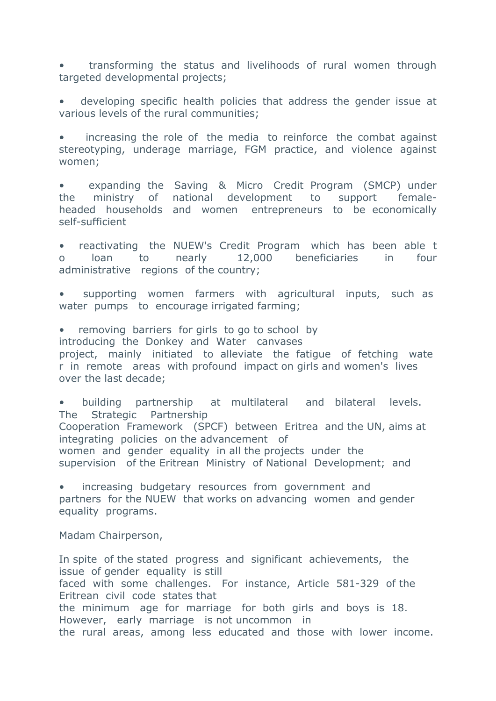• transforming the status and livelihoods of rural women through targeted developmental projects;

• developing specific health policies that address the gender issue at various levels of the rural communities;

increasing the role of the media to reinforce the combat against stereotyping, underage marriage, FGM practice, and violence against women;

• expanding the Saving & Micro Credit Program (SMCP) under the ministry of national development to support femaleheaded households and women entrepreneurs to be economically self-sufficient

• reactivating the NUEW's Credit Program which has been able t o loan to nearly 12,000 beneficiaries in four administrative regions of the country;

supporting women farmers with agricultural inputs, such as water pumps to encourage irrigated farming;

removing barriers for girls to go to school by introducing the Donkey and Water canvases project, mainly initiated to alleviate the fatigue of fetching wate r in remote areas with profound impact on girls and women's lives over the last decade;

• building partnership at multilateral and bilateral levels. The Strategic Partnership Cooperation Framework (SPCF) between Eritrea and the UN, aims at integrating policies on the advancement of women and gender equality in all the projects under the supervision of the Eritrean Ministry of National Development; and

• increasing budgetary resources from government and partners for the NUEW that works on advancing women and gender equality programs.

Madam Chairperson,

In spite of the stated progress and significant achievements, the issue of gender equality is still faced with some challenges. For instance, Article 581-329 of the Eritrean civil code states that the minimum age for marriage for both girls and boys is 18. However, early marriage is not uncommon in the rural areas, among less educated and those with lower income.